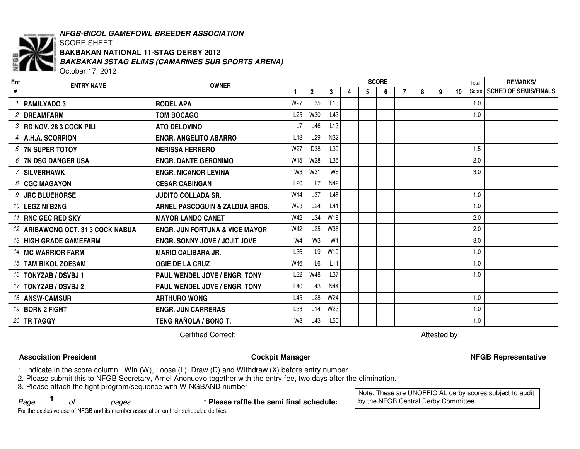

# *NFGB-BICOL GAMEFOWL BREEDER ASSOCIATION*

### SCORE SHEET *BAKBAKAN 3STAG ELIMS (CAMARINES SUR SPORTS ARENA)* October 17, 2012 **BAKBAKAN NATIONAL 11-STAG DERBY 2012**

**ENTRY NAME OWNER Ent #SCORE1 2 3 4 5 6** TotalScore**REMARKS/7 8 9 10 SCHED OF SEMIS/FINALS** *1* **PAMILYADO 3 RODEL APA** W27 L35 L13 1.0 *2* **DREAMFARMM TOM BOCAGO L25 W30 L43 1.0** 1.0 1.0 *3* **RD NOV. 28 3 COCK PILI ATOATO DELOVINO L7** L46 L13 *4* **A.H.A. SCORPION ENGR. ANGELITO ABARRO** L13 L29 N32 *5***7N SUPER TOTOY SUPER TOTOY NERISSA HERRERO** W27 D38 L39 1.5 *6* **7N DSG DANGER USA ENGR. DANTE GERONIMO** W15 W28 L35 2.0 *7* **SILVERHAWK ENGR. NICANOR LEVINA** W3 W31 W8 3.0 *8***CGC MAGAYON CESAR CABINGAN** 1 L20 L7 N42 *9* **JRC BLUEHORSE JUDITO COLLADA SR.** W14 L37 L48 1.0 *10* **LEGZ NI B2NG ARNEL PASCOGUIN & ZALDUA BROS.** W23 L24 L41 1.0 *11* **RNC GEC RED SKY MAYOR LANDO CANET** W42 L34 W15 2.0 *12* **ARIBAWONG OCT. 31 3 COCK NABUA ENGR. JUN FORTUNA & VICE MAYOR** W42 L25 W36 2.0 *13* **HIGH GRADE GAMEFARM ENGR. SONNY JOVE / JOJIT JOVE** W4 W3 W1 3.0 *14* **MC WARRIOR FARM MARIO CALIBARA JR.** L36 L9 W19 1.0 *15* **TAM BIKOL ZOESAM OGIE DE LA CRUZ** W46 L6 L11 1.0 *16* **TONYZAB / DSVBJ 1 PAUL WENDEL JOVE / ENGR. TONY** L32 W48 L37 1.0 *17* **TONYZAB / DSVBJ 2 PAUL WENDEL JOVE / ENGR. TONY** L40 L43 N44 *18* **ANSW-CAMSUR ARTHURO WONG** L45 L28 W24 1.0 *19* **BORN 2 FIGHT ENGR. JUN CARRERAS** L33 L14 W23 1.0 *20* **TR TAGGY TENGRAÑOLA / BONG T.** W8 L43 L50 1.0

**Certified Correct:** 

Attested by:

# **Association**

### **President Cockpit Manager NFGB Representative**

1. Indicate in the score column: Win (W), Loose (L), Draw (D) and Withdraw (X) before entry number

2. Please submit this to NFGB Secretary, Arnel Anonuevo together with the entry fee, two days after the elimination.

3. Please attach the fight program/sequence with WINGBAND number

*Page ………… of …………..pages* **\* Please raffle the semi final schedule: <sup>1</sup>**

Note: These are UNOFFICIAL derby scores subject to audit by the NFGB Central Derby Committee.

For the exclusive use of NFGB and its member association on their scheduled derbies.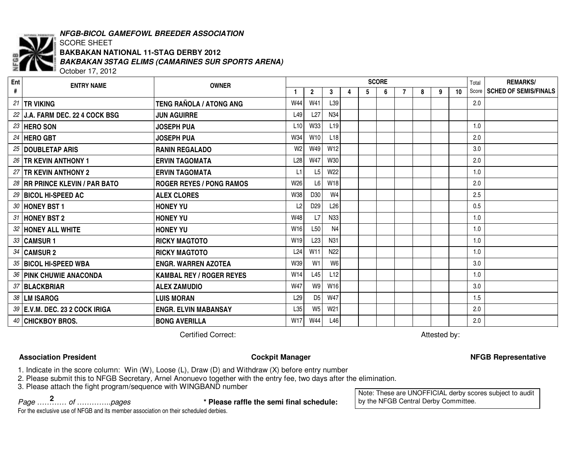

# *NFGB-BICOL GAMEFOWL BREEDER ASSOCIATION*

### SCORE SHEET *BAKBAKAN 3STAG ELIMS (CAMARINES SUR SPORTS ARENA)* October 17, 2012 **BAKBAKAN NATIONAL 11-STAG DERBY 2012**

**ENTRY NAME OWNER Ent #SCORE1 2 3 4 5 6** TotalScore**REMARKS/7 8 9 10 SCHED OF SEMIS/FINALS** *21* **TR VIKING TENG RAÑOLA / ATONG ANG** W44 W41 L39 2.0 *22* **J.A. FARM DEC. 22 4 COCK BSG JUN AGUIRRE** L49 L27 N34 *23* **HERO SON JOSEPH PUA** L10 W33 L19 1.0 *24* **HERO GBT JOSEPH PUA** W34 W10 L18 2.0 *25* **DOUBLETAP ARIS RANINRANIN REGALADO** 0 N2 | W2 | W49 | W12 | | | | | | | | | | | | 3.0 *26* **TR KEVIN ANTHONY 1 ERVIN TAGOMATA** L28 W47 W30 2.0 *27* **TR KEVIN ANTHONY 2 ERVIN TAGOMATA** L1 L5 W22 1.0 *28* **RR PRINCE KLEVIN / PAR BATO ROGER REYES / PONG RAMOS** W26 L6 W18 2.0 *29* **BICOL HI-SPEED AC ALEX CLORES** W38 D30 W4 2.5 *30***HONEY BST 1 BST 1 HONEY YU** $\mathsf{U}$  . The contract of the contract of the contract of the contract of the contract of the contract of the contract of the contract of the contract of the contract of the contract of the contract of the contract of th *31***HONEY BST 2 BST 2 HONEY YU** W48 L7 N33 1.0 *32* **HONEY ALL WHITE HONEY YU** W16 L50 N4 1.0 *33* **CAMSUR 1 RICKY MAGTOTO** W19 L23 N31 1.0 *34* **CAMSUR 2 RICKY MAGTOTO**0 1.024 W11 N22 1 1 1 1 1 1 1.0 *35* **BICOL HI-SPEEDENGR. WARREN AZOTEA**  $\vert$  W39 W1 W6  $\vert$   $\vert$   $\vert$   $\vert$   $\vert$   $\vert$   $\vert$  3.0 *36***PINK CHUWIE ANACONDA CHUWIE ANACONDA KAMBAL REY / ROGER REYES** W14 L45 L12 1.0 *37* **BLACKBRIAR ALEX ZAMUDIO** W47 W9 W16 3.0 *38* **LM ISAROG LUIS MORAN** L29 D5 W47 1.5 *39* **E.V.M. DEC. 23 2 COCK IRIGA ENGR. ELVIN MABANSAY** L35 W5 W21 2.0 *40* **CHICKBOY BROS. BONGAVERILLA** W17 W44 L46 2.0

**Certified Correct:** 

Attested by:

# **Association**

# **President Cockpit Manager NFGB Representative**

1. Indicate in the score column: Win (W), Loose (L), Draw (D) and Withdraw (X) before entry number

2. Please submit this to NFGB Secretary, Arnel Anonuevo together with the entry fee, two days after the elimination.

3. Please attach the fight program/sequence with WINGBAND number

*Page ………… of …………..pages* **\* Please raffle the semi final schedule: <sup>2</sup>**

Note: These are UNOFFICIAL derby scores subject to audit by the NFGB Central Derby Committee.

For the exclusive use of NFGB and its member association on their scheduled derbies.